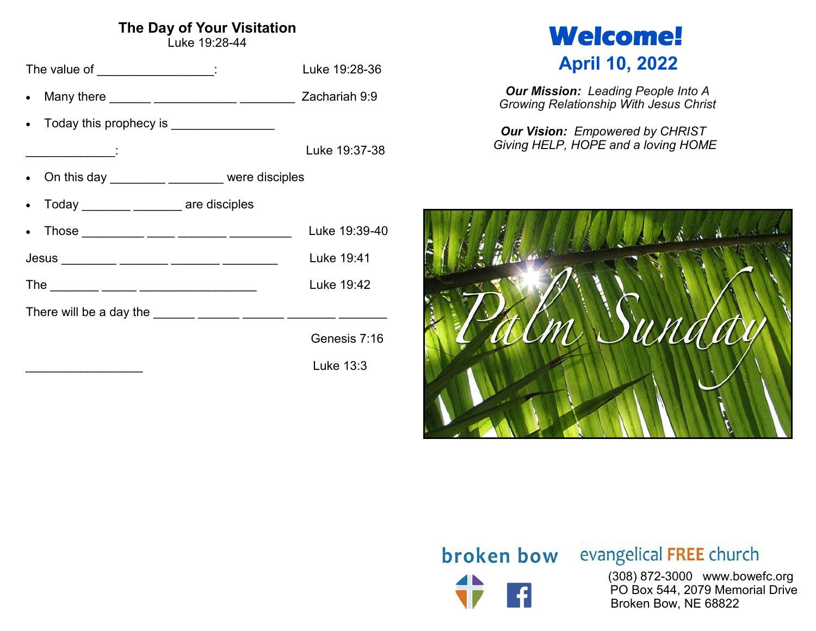# **The Day of Your Visitation**

Luke 19:28-44

| The value of __________________:               | Luke 19:28-36 |
|------------------------------------------------|---------------|
|                                                | Zachariah 9:9 |
| Today this prophecy is _________________       |               |
|                                                | Luke 19:37-38 |
| • On this day _________ _______ were disciples |               |
| Today _________ ________ are disciples         |               |
| Those __________ ____ _____ ______ _______     | Luke 19:39-40 |
|                                                | Luke 19:41    |
|                                                | Luke 19:42    |
|                                                |               |
|                                                | Genesis 7:16  |
|                                                | Luke 13:3     |

# **Welcome! April 10, 2022**

*Our Mission: Leading People Into A Growing Relationship With Jesus Christ*

*Our Vision: Empowered by CHRIST Giving HELP, HOPE and a loving HOME*



# **broken bow** evangelical FREE church

 (308) 872-3000 www.bowefc.org PO Box 544, 2079 Memorial Drive Broken Bow, NE 68822